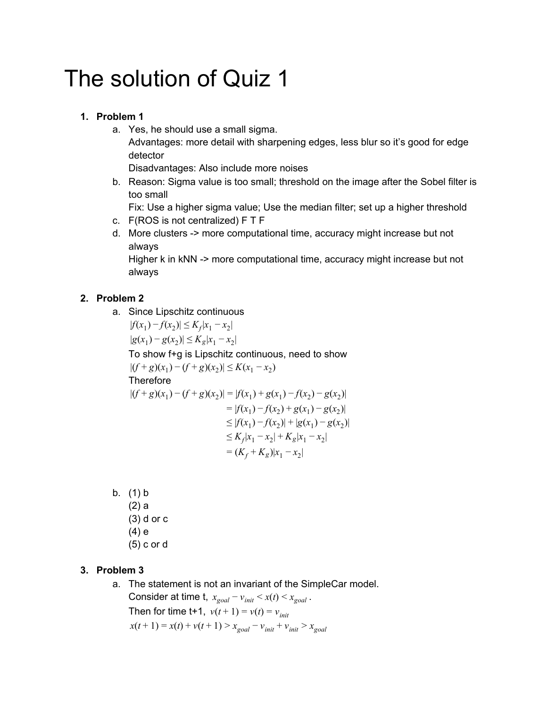# The solution of Quiz 1

#### **1. Problem 1**

- a. Yes, he should use a small sigma. Advantages: more detail with sharpening edges, less blur so it's good for edge detector Disadvantages: Also include more noises
	-
- b. Reason: Sigma value is too small; threshold on the image after the Sobel filter is too small

Fix: Use a higher sigma value; Use the median filter; set up a higher threshold

- c. F(ROS is not centralized) F T F
- d. More clusters -> more computational time, accuracy might increase but not always

Higher k in kNN -> more computational time, accuracy might increase but not always

### **2. Problem 2**

- a. Since Lipschitz continuous  $|f(x_1) - f(x_2)| \le K_f |x_1 - x_2|$  $|g(x_1) - g(x_2)| \le K_g |x_1 - x_2|$ To show f+g is Lipschitz continuous, need to show  $|(f+g)(x_1) - (f+g)(x_2)| \le K(x_1 - x_2)$ **Therefore**  $|(f+g)(x_1)-(f+g)(x_2)|=|f(x_1)+g(x_1)-f(x_2)-g(x_2)|$  $= |f(x_1) - f(x_2) + g(x_1) - g(x_2)|$  $\leq |f(x_1) - f(x_2)| + |g(x_1) - g(x_2)|$  $\leq K_f |x_1 - x_2| + K_g |x_1 - x_2|$  $= (K_f + K_g)|x_1 - x_2|$
- b. (1) b (2) a (3) d or c (4) e (5) c or d

## **3. Problem 3**

a. The statement is not an invariant of the SimpleCar model. Consider at time t,  $x_{goal} - v_{init} < x(t) < x_{goal}$ . Then for time t+1,  $v(t+1) = v(t) = v_{init}$  $x(t+1) = x(t) + v(t+1) > x_{goal} - v_{init} + v_{init} > x_{goal}$